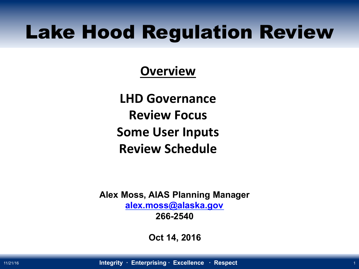## Lake Hood Regulation Review

### **Overview**

**LHD Governance Review Focus Some User Inputs Review Schedule** 

**Alex Moss, AIAS Planning Manager alex.moss@alaska.gov 266-2540** 

**Oct 14, 2016**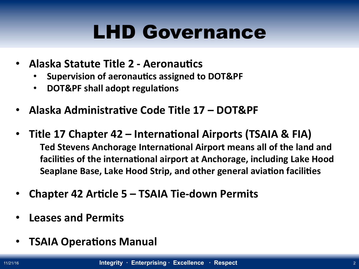# LHD Governance

- **Alaska Statute Title 2 Aeronautics** 
	- **Supervision of aeronautics assigned to DOT&PF**
	- **DOT&PF shall adopt regulations**
- Alaska Administrative Code Title 17 DOT&PF
- Title 17 Chapter 42 International Airports (TSAIA & FIA) Ted Stevens Anchorage International Airport means all of the land and facilities of the international airport at Anchorage, including Lake Hood **Seaplane Base, Lake Hood Strip, and other general aviation facilities**
- **Chapter 42 Article 5 TSAIA Tie-down Permits**
- **Leases and Permits**
- **TSAIA Operations Manual**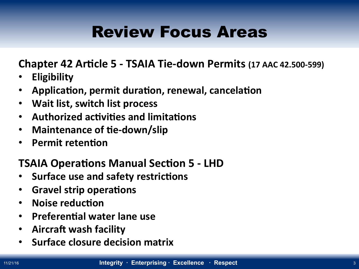## Review Focus Areas

**Chapter 42 Article 5 - TSAIA Tie-down Permits (17 AAC 42.500-599)** 

- **Eligibility**
- **Application, permit duration, renewal, cancelation**
- **Wait list, switch list process**
- **Authorized activities and limitations**
- Maintenance of tie-down/slip
- **•** Permit retention

#### **TSAIA Operations Manual Section 5 - LHD**

- **Surface use and safety restrictions**
- **Gravel strip operations**
- **Noise reduction**
- **Preferential water lane use**
- **•** Aircraft wash facility
- **Surface closure decision matrix**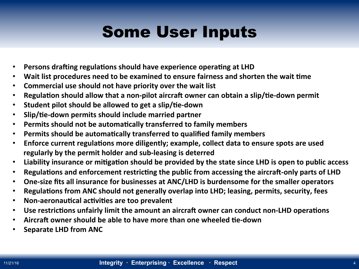## Some User Inputs

- **Persons drafting regulations should have experience operating at LHD**
- Wait list procedures need to be examined to ensure fairness and shorten the wait time
- **Commercial use should not have priority over the wait list**
- **Regulation should allow that a non-pilot aircraft owner can obtain a slip/tie-down permit**
- **•** Student pilot should be allowed to get a slip/tie-down
- **•** Slip/tie-down permits should include married partner
- **Permits should not be automatically transferred to family members**
- **Permits should be automatically transferred to qualified family members**
- Enforce current regulations more diligently; example, collect data to ensure spots are used regularly by the permit holder and sub-leasing is deterred
- Liability insurance or mitigation should be provided by the state since LHD is open to public access
- Regulations and enforcement restricting the public from accessing the aircraft-only parts of LHD
- One-size fits all insurance for businesses at ANC/LHD is burdensome for the smaller operators
- **Regulations from ANC should not generally overlap into LHD; leasing, permits, security, fees**
- **Non-aeronautical activities are too prevalent**
- Use restrictions unfairly limit the amount an aircraft owner can conduct non-LHD operations
- Aircraft owner should be able to have more than one wheeled tie-down
- **Separate LHD from ANC**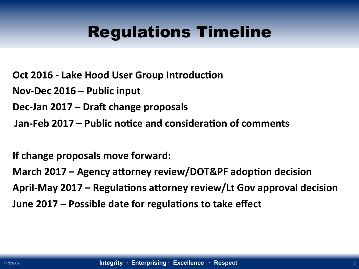### Regulations Timeline

**Oct 2016 - Lake Hood User Group Introduction** 

Nov-Dec 2016 – Public input

Dec-Jan 2017 – Draft change proposals

**Jan-Feb 2017 – Public notice and consideration of comments** 

**If change proposals move forward:** 

March 2017 – Agency attorney review/DOT&PF adoption decision April-May 2017 – Regulations attorney review/Lt Gov approval decision **June 2017 – Possible date for regulations to take effect**